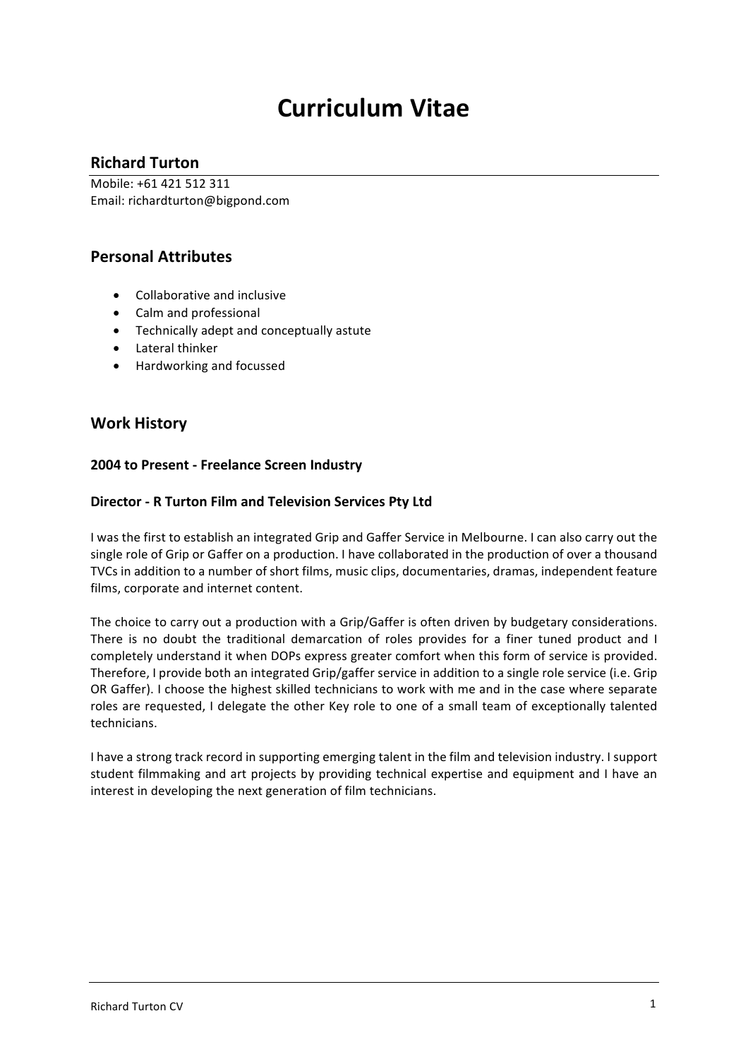# **Curriculum Vitae**

# **Richard Turton**

Mobile: +61 421 512 311 Email: richardturton@bigpond.com

# **Personal Attributes**

- Collaborative and inclusive
- Calm and professional
- Technically adept and conceptually astute
- Lateral thinker
- Hardworking and focussed

# **Work History**

# **2004 to Present - Freelance Screen Industry**

# **Director - R Turton Film and Television Services Pty Ltd**

I was the first to establish an integrated Grip and Gaffer Service in Melbourne. I can also carry out the single role of Grip or Gaffer on a production. I have collaborated in the production of over a thousand TVCs in addition to a number of short films, music clips, documentaries, dramas, independent feature films, corporate and internet content.

The choice to carry out a production with a Grip/Gaffer is often driven by budgetary considerations. There is no doubt the traditional demarcation of roles provides for a finer tuned product and I completely understand it when DOPs express greater comfort when this form of service is provided. Therefore, I provide both an integrated Grip/gaffer service in addition to a single role service (i.e. Grip OR Gaffer). I choose the highest skilled technicians to work with me and in the case where separate roles are requested, I delegate the other Key role to one of a small team of exceptionally talented technicians. 

I have a strong track record in supporting emerging talent in the film and television industry. I support student filmmaking and art projects by providing technical expertise and equipment and I have an interest in developing the next generation of film technicians.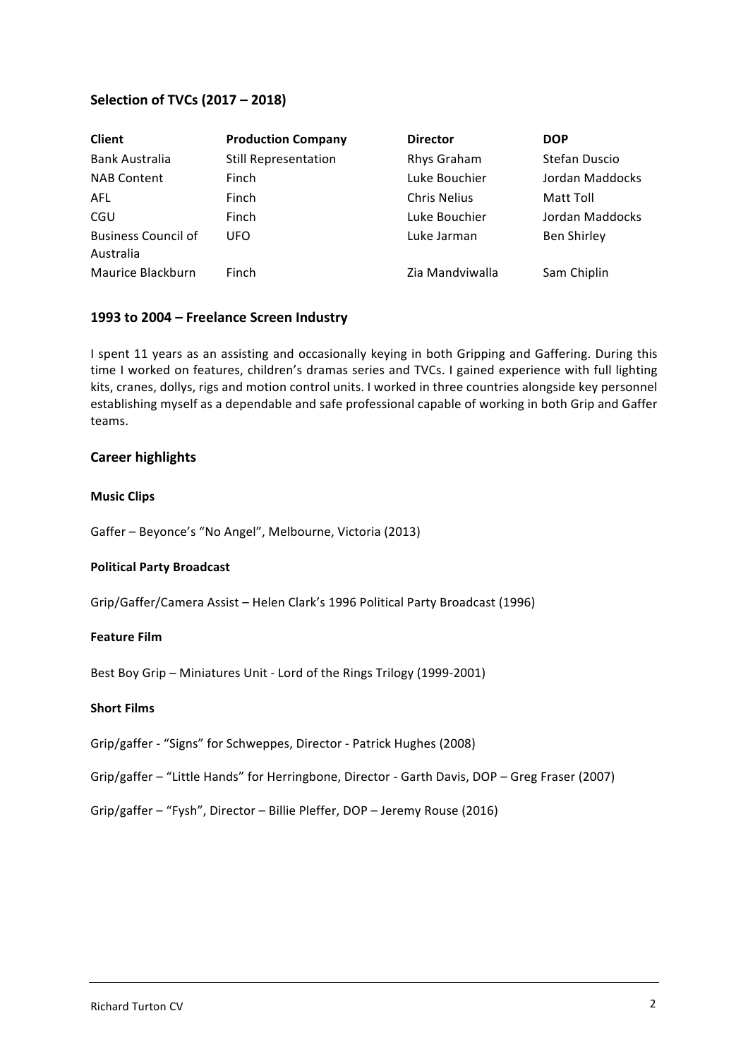# **Selection of TVCs (2017 – 2018)**

| <b>Client</b>                           | <b>Production Company</b>   | <b>Director</b>     | <b>DOP</b>      |
|-----------------------------------------|-----------------------------|---------------------|-----------------|
| <b>Bank Australia</b>                   | <b>Still Representation</b> | Rhys Graham         | Stefan Duscio   |
| <b>NAB Content</b>                      | Finch                       | Luke Bouchier       | Jordan Maddocks |
| AFL                                     | Finch                       | <b>Chris Nelius</b> | Matt Toll       |
| <b>CGU</b>                              | Finch                       | Luke Bouchier       | Jordan Maddocks |
| <b>Business Council of</b><br>Australia | UFO                         | Luke Jarman         | Ben Shirley     |
| Maurice Blackburn                       | Finch                       | Zia Mandviwalla     | Sam Chiplin     |

## **1993 to 2004 – Freelance Screen Industry**

I spent 11 years as an assisting and occasionally keying in both Gripping and Gaffering. During this time I worked on features, children's dramas series and TVCs. I gained experience with full lighting kits, cranes, dollys, rigs and motion control units. I worked in three countries alongside key personnel establishing myself as a dependable and safe professional capable of working in both Grip and Gaffer teams. 

#### **Career highlights**

#### **Music Clips**

Gaffer - Beyonce's "No Angel", Melbourne, Victoria (2013)

#### **Political Party Broadcast**

Grip/Gaffer/Camera Assist – Helen Clark's 1996 Political Party Broadcast (1996)

#### **Feature Film**

Best Boy Grip - Miniatures Unit - Lord of the Rings Trilogy (1999-2001)

#### **Short Films**

- Grip/gaffer "Signs" for Schweppes, Director Patrick Hughes (2008)
- Grip/gaffer "Little Hands" for Herringbone, Director Garth Davis, DOP Greg Fraser (2007)
- Grip/gaffer "Fysh", Director Billie Pleffer, DOP Jeremy Rouse (2016)